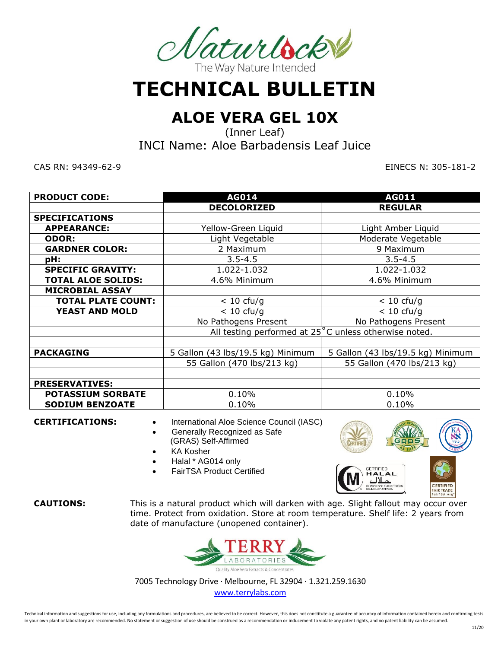

**TECHNICAL BULLETIN**

# **ALOE VERA GEL 10X**

(Inner Leaf)

INCI Name: Aloe Barbadensis Leaf Juice

CAS RN: 94349-62-9 EINECS N: 305-181-2

| <b>PRODUCT CODE:</b>      | <b>AG014</b>                                          | <b>AG011</b>                      |  |
|---------------------------|-------------------------------------------------------|-----------------------------------|--|
|                           | <b>DECOLORIZED</b>                                    | <b>REGULAR</b>                    |  |
| <b>SPECIFICATIONS</b>     |                                                       |                                   |  |
| <b>APPEARANCE:</b>        | Yellow-Green Liquid<br>Light Amber Liquid             |                                   |  |
| <b>ODOR:</b>              | Light Vegetable                                       | Moderate Vegetable                |  |
| <b>GARDNER COLOR:</b>     | 2 Maximum                                             | 9 Maximum                         |  |
| pH:                       | $3.5 - 4.5$                                           | $3.5 - 4.5$                       |  |
| <b>SPECIFIC GRAVITY:</b>  | 1.022-1.032                                           | 1.022-1.032                       |  |
| <b>TOTAL ALOE SOLIDS:</b> | 4.6% Minimum                                          | 4.6% Minimum                      |  |
| <b>MICROBIAL ASSAY</b>    |                                                       |                                   |  |
| <b>TOTAL PLATE COUNT:</b> | $< 10 \text{ cfu/g}$                                  | $< 10$ cfu/g                      |  |
| <b>YEAST AND MOLD</b>     | $< 10 \text{ cfu/g}$                                  | $< 10$ cfu/g                      |  |
|                           | No Pathogens Present                                  | No Pathogens Present              |  |
|                           | All testing performed at 25°C unless otherwise noted. |                                   |  |
|                           |                                                       |                                   |  |
| <b>PACKAGING</b>          | 5 Gallon (43 lbs/19.5 kg) Minimum                     | 5 Gallon (43 lbs/19.5 kg) Minimum |  |
|                           | 55 Gallon (470 lbs/213 kg)                            | 55 Gallon (470 lbs/213 kg)        |  |
|                           |                                                       |                                   |  |
| <b>PRESERVATIVES:</b>     |                                                       |                                   |  |
| <b>POTASSIUM SORBATE</b>  | 0.10%                                                 | 0.10%                             |  |
| <b>SODIUM BENZOATE</b>    | 0.10%                                                 | 0.10%                             |  |

- **CERTIFICATIONS:** International Aloe Science Council (IASC)
	- Generally Recognized as Safe (GRAS) Self-Affirmed
	- KA Kosher
	- Halal \* AG014 only
	- FairTSA Product Certified



**CAUTIONS:** This is a natural product which will darken with age. Slight fallout may occur over time. Protect from oxidation. Store at room temperature. Shelf life: 2 years from date of manufacture (unopened container).



7005 Technology Drive ∙ Melbourne, FL 32904 ∙ 1.321.259.1630 [www.terrylabs.com](http://www.terrylabs.com/) 

Technical information and suggestions for use, including any formulations and procedures, are believed to be correct. However, this does not constitute a guarantee of accuracy of information contained herein and confirming in your own plant or laboratory are recommended. No statement or suggestion of use should be construed as a recommendation or inducement to violate any patent rights, and no patent liability can be assumed.